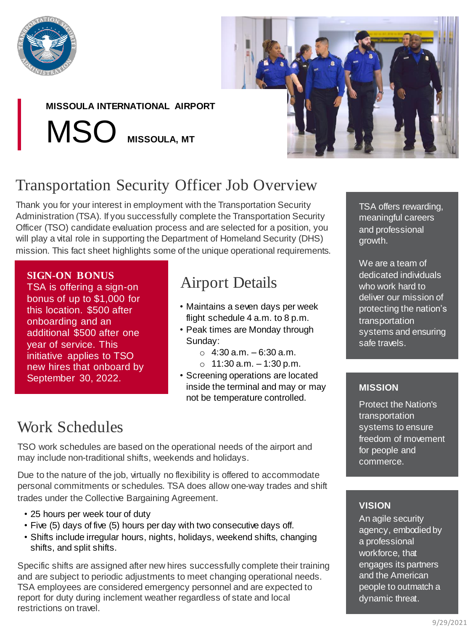

## **MISSOULA INTERNATIONAL AIRPORT**

MSO **MISSOULA, MT**



# Transportation Security Officer Job Overview

Thank you for your interest in employment with the Transportation Security Administration (TSA). If you successfully complete the Transportation Security Officer (TSO) candidate evaluation process and are selected for a position, you will play a vital role in supporting the Department of Homeland Security (DHS) mission. This fact sheet highlights some of the unique operational requirements.

### **SIGN-ON BONUS**

TSA is offering a sign-on bonus of up to \$1,000 for this location. \$500 after onboarding and an additional \$500 after one year of service. This initiative applies to TSO new hires that onboard by September 30, 2022.

## Airport Details

- Maintains a seven days per week flight schedule 4 a.m. to 8 p.m.
- Peak times are Monday through Sunday:
	- $\circ$  4:30 a.m. 6:30 a.m.
	- $\circ$  11:30 a.m.  $-1:30$  p.m.
- Screening operations are located inside the terminal and may or may not be temperature controlled.

## Work Schedules

TSO work schedules are based on the operational needs of the airport and may include non-traditional shifts, weekends and holidays.

Due to the nature of the job, virtually no flexibility is offered to accommodate personal commitments or schedules. TSA does allow one-way trades and shift trades under the Collective Bargaining Agreement.

- 25 hours per week tour of duty
- Five (5) days of five (5) hours per day with two consecutive days off.
- Shifts include irregular hours, nights, holidays, weekend shifts, changing shifts, and split shifts.

Specific shifts are assigned after new hires successfully complete their training and are subject to periodic adjustments to meet changing operational needs. TSA employees are considered emergency personnel and are expected to report for duty during inclement weather regardless of state and local restrictions on travel.

TSA offers rewarding, meaningful careers and professional growth.

We are a team of dedicated individuals who work hard to deliver our mission of protecting the nation's transportation systems and ensuring safe travels.

### **MISSION**

Protect the Nation's transportation systems to ensure freedom of movement for people and commerce.

### **VISION**

An agile security agency, embodied by a professional workforce, that engages its partners and the American people to outmatch a dynamic threat.